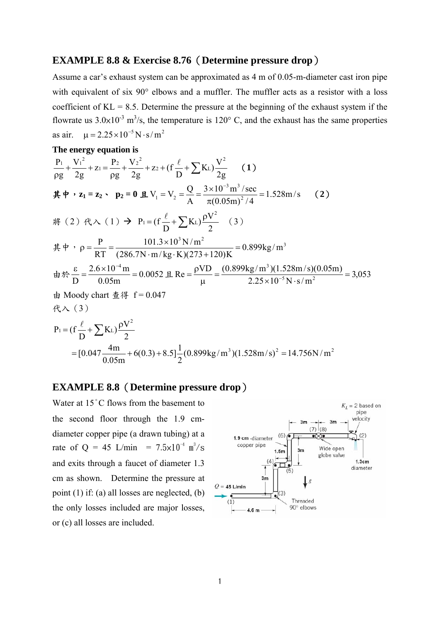# **EXAMPLE 8.8 & Exercise 8.76**(**Determine pressure drop**)

Assume a car's exhaust system can be approximated as 4 m of 0.05-m-diameter cast iron pipe with equivalent of six 90° elbows and a muffler. The muffler acts as a resistor with a loss coefficient of  $KL = 8.5$ . Determine the pressure at the beginning of the exhaust system if the flowrate us  $3.0\times10^{-3}$  m<sup>3</sup>/s, the temperature is 120° C, and the exhaust has the same properties as air.  $\mu = 2.25 \times 10^{-5} \text{ N} \cdot \text{s/m}^2$ 

#### **The energy equation is**

$$
\frac{P_1}{\rho g} + \frac{V_1^2}{2g} + z_1 = \frac{P_2}{\rho g} + \frac{V_2^2}{2g} + z_2 + (f\frac{\ell}{D} + \sum K_L)\frac{V^2}{2g} \qquad (1)
$$
\n
$$
\nexists \Phi \cdot z_1 = z_2 \cdot p_2 = 0 \text{ if } V_1 = V_2 = \frac{Q}{A} = \frac{3 \times 10^{-3} \text{ m}^3/\text{sec}}{\pi (0.05 \text{m})^2/4} = 1.528 \text{ m/s} \qquad (2)
$$
\n
$$
\nRightarrow (2) \text{ if } \lambda \leq 1 \text{ and } V_1 = V_2 = \frac{Q}{A} = \frac{3 \times 10^{-3} \text{ m}^3/\text{sec}}{\pi (0.05 \text{m})^2/4} = 1.528 \text{ m/s} \qquad (2)
$$
\n
$$
\nRightarrow \Phi \cdot z_1 = \frac{P}{RT} = \frac{101.3 \times 10^3 \text{ N/m}^2}{(286.7 \text{ N} \cdot \text{m/kg} \cdot \text{K})(273 + 120) \text{K}} = 0.899 \text{ kg/m}^3
$$
\n
$$
\nRightarrow \Phi \cdot \frac{\varepsilon}{D} = \frac{2.6 \times 10^{-4} \text{ m}}{0.05 \text{ m}} = 0.0052 \text{ H. Re} = \frac{\rho V D}{\mu} = \frac{(0.899 \text{ kg/m}^3)(1.528 \text{ m/s})(0.05 \text{ m})}{2.25 \times 10^{-5} \text{ N} \cdot \text{s/m}^2} = 3,053
$$
\n
$$
\nRightarrow \text{Moody chart } \nRightarrow \nexists \Phi f = 0.047
$$
\n
$$
\nRightarrow \lambda \in \mathcal{L} \text{ and } \nexists \Phi f = 0.047
$$
\n
$$
P_1 = (f\frac{\ell}{D} + \sum K_L)\frac{\rho V^2}{2}
$$
\n
$$
= [0.047 \frac{4 \text{m}}{0.05 \text{m}} + 6(0.3) + 8.5] \frac{1}{2} (0.899 \text{ kg/m}^3)(1.528 \text{m/s
$$

### **EXAMPLE 8.8**(**Determine pressure drop**)

Water at 15°C flows from the basement to the second floor through the 1.9 cmdiameter copper pipe (a drawn tubing) at a rate of Q = 45 L/min =  $7.5 \times 10^{-4}$  m<sup>3</sup>/s and exits through a faucet of diameter 1.3 cm as shown. Determine the pressure at point (1) if: (a) all losses are neglected, (b) the only losses included are major losses, or (c) all losses are included.

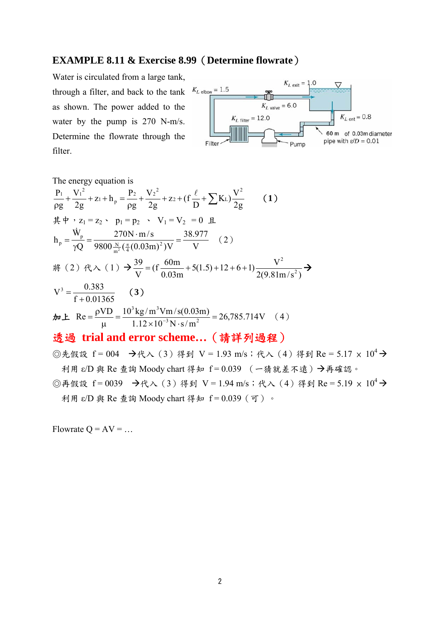# **EXAMPLE 8.11 & Exercise 8.99**(**Determine flowrate**)

Water is circulated from a large tank, through a filter, and back to the tank  $K_{L \text{ elbow}} = 1.5$ as shown. The power added to the water by the pump is 270 N-m/s. Determine the flowrate through the filter.



The energy equation is 2g <sup>V</sup> <sup>K</sup> ) <sup>D</sup> z (f 2g V g P z h 2g V g P <sup>2</sup> 2 L 2 2 2 p 1 2 1 1 (**1**) 其中,z1 = z2、 p1 = p2 、 V1 = V2 = 0 且 V 38.977 9800 ( (0.03m) )V 270N m/s Q W h <sup>2</sup> m 4 N p p 2 (2) 將(2)代入(1) 2(9.81m/s ) <sup>V</sup> 5(1.5) <sup>12</sup> <sup>6</sup> 1) 0.03m 60m (f V 39 2 2 f 0.01365 0.383 <sup>V</sup><sup>3</sup> (**3**) 加上 26,785.714V 1.12 10 N s/m VD <sup>10</sup> kg /m Vm/s(0.03m) Re <sup>3</sup> <sup>2</sup> 3 3 (4) 透過 **trial and error scheme…**(請詳列過程)

◎先假設 f = 004 →代入(3)得到 V = 1.93 m/s;代入(4)得到 Re = 5.17 x  $10^4$  → 利用 ε/D 與 Re 查詢 Moody chart 得知 f = 0.039 (一猜就差不遠)再確認。

©再假設 f = 0039 →代入(3)得到 V = 1.94 m/s;代入(4)得到 Re = 5.19 ×  $10^4$  → 利用 ε/D 與 Re 查詢 Moody chart 得知 f = 0.039(可)。

Flowrate  $Q = AV = ...$